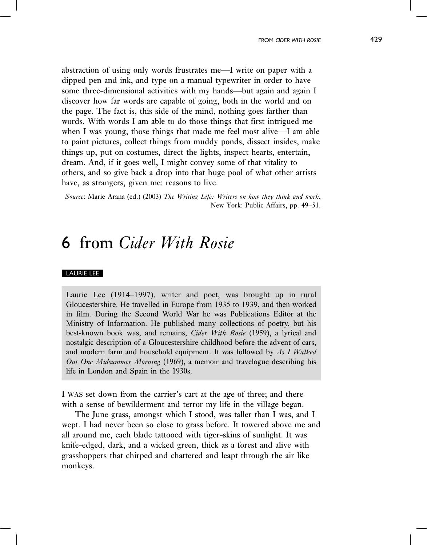## 6 from Cider With Rosie

## LAURIE LEE

Laurie Lee (1914–1997), writer and poet, was brought up in rural Gloucestershire. He travelled in Europe from 1935 to 1939, and then worked in film. During the Second World War he was Publications Editor at the Ministry of Information. He published many collections of poetry, but his best-known book was, and remains, Cider With Rosie (1959), a lyrical and nostalgic description of a Gloucestershire childhood before the advent of cars, and modern farm and household equipment. It was followed by As I Walked Out One Midsummer Morning (1969), a memoir and travelogue describing his life in London and Spain in the 1930s.

I WAS set down from the carrier's cart at the age of three; and there with a sense of bewilderment and terror my life in the village began.

The June grass, amongst which I stood, was taller than I was, and I wept. I had never been so close to grass before. It towered above me and all around me, each blade tattooed with tiger-skins of sunlight. It was knife-edged, dark, and a wicked green, thick as a forest and alive with grasshoppers that chirped and chattered and leapt through the air like monkeys.